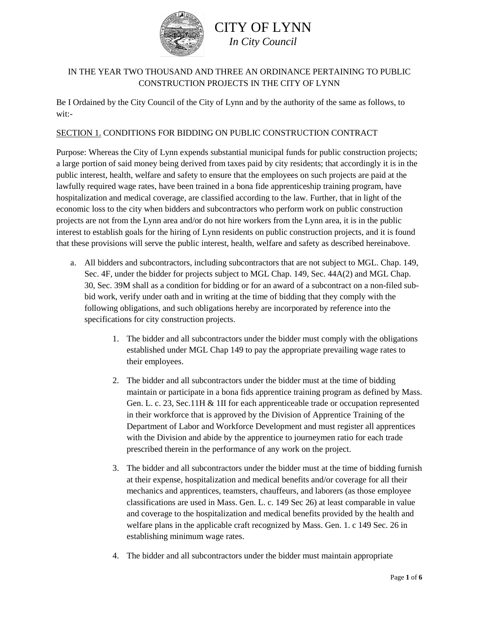

### IN THE YEAR TWO THOUSAND AND THREE AN ORDINANCE PERTAINING TO PUBLIC CONSTRUCTION PROJECTS IN THE CITY OF LYNN

Be I Ordained by the City Council of the City of Lynn and by the authority of the same as follows, to wit:-

#### SECTION 1. CONDITIONS FOR BIDDING ON PUBLIC CONSTRUCTION CONTRACT

Purpose: Whereas the City of Lynn expends substantial municipal funds for public construction projects; a large portion of said money being derived from taxes paid by city residents; that accordingly it is in the public interest, health, welfare and safety to ensure that the employees on such projects are paid at the lawfully required wage rates, have been trained in a bona fide apprenticeship training program, have hospitalization and medical coverage, are classified according to the law. Further, that in light of the economic loss to the city when bidders and subcontractors who perform work on public construction projects are not from the Lynn area and/or do not hire workers from the Lynn area, it is in the public interest to establish goals for the hiring of Lynn residents on public construction projects, and it is found that these provisions will serve the public interest, health, welfare and safety as described hereinabove.

- a. All bidders and subcontractors, including subcontractors that are not subject to MGL. Chap. 149, Sec. 4F, under the bidder for projects subject to MGL Chap. 149, Sec. 44A(2) and MGL Chap. 30, Sec. 39M shall as a condition for bidding or for an award of a subcontract on a non-filed subbid work, verify under oath and in writing at the time of bidding that they comply with the following obligations, and such obligations hereby are incorporated by reference into the specifications for city construction projects.
	- 1. The bidder and all subcontractors under the bidder must comply with the obligations established under MGL Chap 149 to pay the appropriate prevailing wage rates to their employees.
	- 2. The bidder and all subcontractors under the bidder must at the time of bidding maintain or participate in a bona fids apprentice training program as defined by Mass. Gen. L. c. 23, Sec.11H & 1II for each apprenticeable trade or occupation represented in their workforce that is approved by the Division of Apprentice Training of the Department of Labor and Workforce Development and must register all apprentices with the Division and abide by the apprentice to journeymen ratio for each trade prescribed therein in the performance of any work on the project.
	- 3. The bidder and all subcontractors under the bidder must at the time of bidding furnish at their expense, hospitalization and medical benefits and/or coverage for all their mechanics and apprentices, teamsters, chauffeurs, and laborers (as those employee classifications are used in Mass. Gen. L. c. 149 Sec 26) at least comparable in value and coverage to the hospitalization and medical benefits provided by the health and welfare plans in the applicable craft recognized by Mass. Gen. 1. c 149 Sec. 26 in establishing minimum wage rates.
	- 4. The bidder and all subcontractors under the bidder must maintain appropriate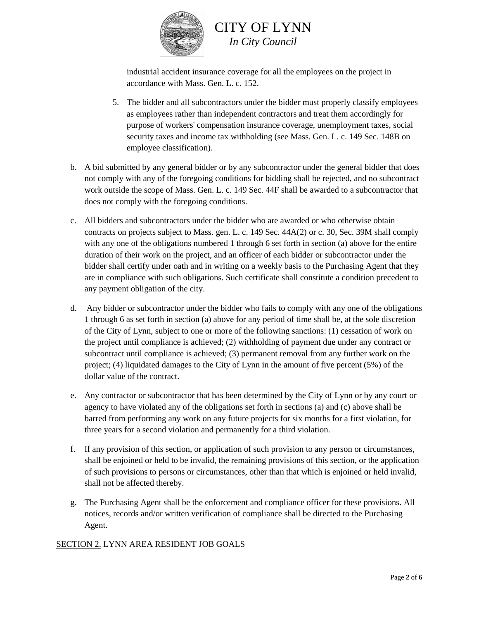

industrial accident insurance coverage for all the employees on the project in accordance with Mass. Gen. L. c. 152.

- 5. The bidder and all subcontractors under the bidder must properly classify employees as employees rather than independent contractors and treat them accordingly for purpose of workers' compensation insurance coverage, unemployment taxes, social security taxes and income tax withholding (see Mass. Gen. L. c. 149 Sec. 148B on employee classification).
- b. A bid submitted by any general bidder or by any subcontractor under the general bidder that does not comply with any of the foregoing conditions for bidding shall be rejected, and no subcontract work outside the scope of Mass. Gen. L. c. 149 Sec. 44F shall be awarded to a subcontractor that does not comply with the foregoing conditions.
- c. All bidders and subcontractors under the bidder who are awarded or who otherwise obtain contracts on projects subject to Mass. gen. L. c. 149 Sec. 44A(2) or c. 30, Sec. 39M shall comply with any one of the obligations numbered 1 through 6 set forth in section (a) above for the entire duration of their work on the project, and an officer of each bidder or subcontractor under the bidder shall certify under oath and in writing on a weekly basis to the Purchasing Agent that they are in compliance with such obligations. Such certificate shall constitute a condition precedent to any payment obligation of the city.
- d. Any bidder or subcontractor under the bidder who fails to comply with any one of the obligations 1 through 6 as set forth in section (a) above for any period of time shall be, at the sole discretion of the City of Lynn, subject to one or more of the following sanctions: (1) cessation of work on the project until compliance is achieved; (2) withholding of payment due under any contract or subcontract until compliance is achieved; (3) permanent removal from any further work on the project; (4) liquidated damages to the City of Lynn in the amount of five percent (5%) of the dollar value of the contract.
- e. Any contractor or subcontractor that has been determined by the City of Lynn or by any court or agency to have violated any of the obligations set forth in sections (a) and (c) above shall be barred from performing any work on any future projects for six months for a first violation, for three years for a second violation and permanently for a third violation.
- f. If any provision of this section, or application of such provision to any person or circumstances, shall be enjoined or held to be invalid, the remaining provisions of this section, or the application of such provisions to persons or circumstances, other than that which is enjoined or held invalid, shall not be affected thereby.
- g. The Purchasing Agent shall be the enforcement and compliance officer for these provisions. All notices, records and/or written verification of compliance shall be directed to the Purchasing Agent.

#### SECTION 2. LYNN AREA RESIDENT JOB GOALS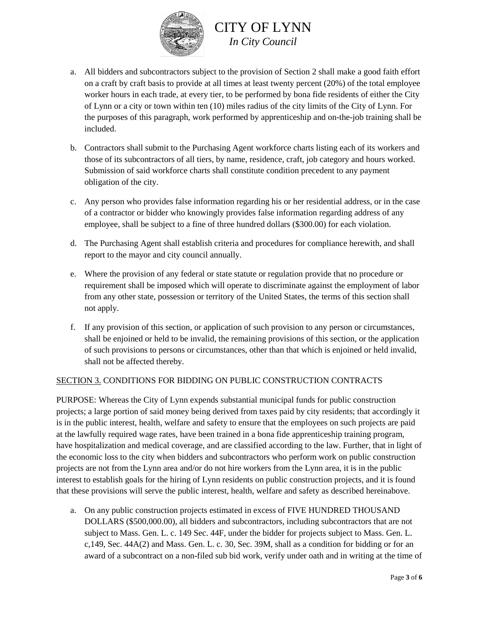

- a. All bidders and subcontractors subject to the provision of Section 2 shall make a good faith effort on a craft by craft basis to provide at all times at least twenty percent (20%) of the total employee worker hours in each trade, at every tier, to be performed by bona fide residents of either the City of Lynn or a city or town within ten (10) miles radius of the city limits of the City of Lynn. For the purposes of this paragraph, work performed by apprenticeship and on-the-job training shall be included.
- b. Contractors shall submit to the Purchasing Agent workforce charts listing each of its workers and those of its subcontractors of all tiers, by name, residence, craft, job category and hours worked. Submission of said workforce charts shall constitute condition precedent to any payment obligation of the city.
- c. Any person who provides false information regarding his or her residential address, or in the case of a contractor or bidder who knowingly provides false information regarding address of any employee, shall be subject to a fine of three hundred dollars (\$300.00) for each violation.
- d. The Purchasing Agent shall establish criteria and procedures for compliance herewith, and shall report to the mayor and city council annually.
- e. Where the provision of any federal or state statute or regulation provide that no procedure or requirement shall be imposed which will operate to discriminate against the employment of labor from any other state, possession or territory of the United States, the terms of this section shall not apply.
- f. If any provision of this section, or application of such provision to any person or circumstances, shall be enjoined or held to be invalid, the remaining provisions of this section, or the application of such provisions to persons or circumstances, other than that which is enjoined or held invalid, shall not be affected thereby.

#### SECTION 3. CONDITIONS FOR BIDDING ON PUBLIC CONSTRUCTION CONTRACTS

PURPOSE: Whereas the City of Lynn expends substantial municipal funds for public construction projects; a large portion of said money being derived from taxes paid by city residents; that accordingly it is in the public interest, health, welfare and safety to ensure that the employees on such projects are paid at the lawfully required wage rates, have been trained in a bona fide apprenticeship training program, have hospitalization and medical coverage, and are classified according to the law. Further, that in light of the economic loss to the city when bidders and subcontractors who perform work on public construction projects are not from the Lynn area and/or do not hire workers from the Lynn area, it is in the public interest to establish goals for the hiring of Lynn residents on public construction projects, and it is found that these provisions will serve the public interest, health, welfare and safety as described hereinabove.

a. On any public construction projects estimated in excess of FIVE HUNDRED THOUSAND DOLLARS (\$500,000.00), all bidders and subcontractors, including subcontractors that are not subject to Mass. Gen. L. c. 149 Sec. 44F, under the bidder for projects subject to Mass. Gen. L. c,149, Sec. 44A(2) and Mass. Gen. L. c. 30, Sec. 39M, shall as a condition for bidding or for an award of a subcontract on a non-filed sub bid work, verify under oath and in writing at the time of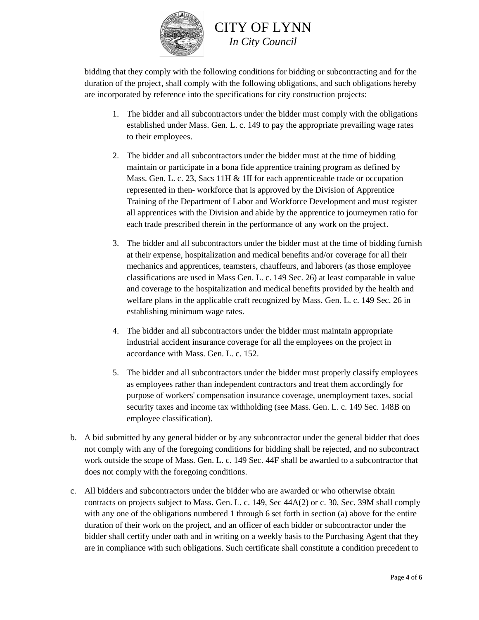

bidding that they comply with the following conditions for bidding or subcontracting and for the duration of the project, shall comply with the following obligations, and such obligations hereby are incorporated by reference into the specifications for city construction projects:

- 1. The bidder and all subcontractors under the bidder must comply with the obligations established under Mass. Gen. L. c. 149 to pay the appropriate prevailing wage rates to their employees.
- 2. The bidder and all subcontractors under the bidder must at the time of bidding maintain or participate in a bona fide apprentice training program as defined by Mass. Gen. L. c. 23, Sacs 11H & 1II for each apprenticeable trade or occupation represented in then- workforce that is approved by the Division of Apprentice Training of the Department of Labor and Workforce Development and must register all apprentices with the Division and abide by the apprentice to journeymen ratio for each trade prescribed therein in the performance of any work on the project.
- 3. The bidder and all subcontractors under the bidder must at the time of bidding furnish at their expense, hospitalization and medical benefits and/or coverage for all their mechanics and apprentices, teamsters, chauffeurs, and laborers (as those employee classifications are used in Mass Gen. L. c. 149 Sec. 26) at least comparable in value and coverage to the hospitalization and medical benefits provided by the health and welfare plans in the applicable craft recognized by Mass. Gen. L. c. 149 Sec. 26 in establishing minimum wage rates.
- 4. The bidder and all subcontractors under the bidder must maintain appropriate industrial accident insurance coverage for all the employees on the project in accordance with Mass. Gen. L. c. 152.
- 5. The bidder and all subcontractors under the bidder must properly classify employees as employees rather than independent contractors and treat them accordingly for purpose of workers' compensation insurance coverage, unemployment taxes, social security taxes and income tax withholding (see Mass. Gen. L. c. 149 Sec. 148B on employee classification).
- b. A bid submitted by any general bidder or by any subcontractor under the general bidder that does not comply with any of the foregoing conditions for bidding shall be rejected, and no subcontract work outside the scope of Mass. Gen. L. c. 149 Sec. 44F shall be awarded to a subcontractor that does not comply with the foregoing conditions.
- c. All bidders and subcontractors under the bidder who are awarded or who otherwise obtain contracts on projects subject to Mass. Gen. L. c. 149, Sec 44A(2) or c. 30, Sec. 39M shall comply with any one of the obligations numbered 1 through 6 set forth in section (a) above for the entire duration of their work on the project, and an officer of each bidder or subcontractor under the bidder shall certify under oath and in writing on a weekly basis to the Purchasing Agent that they are in compliance with such obligations. Such certificate shall constitute a condition precedent to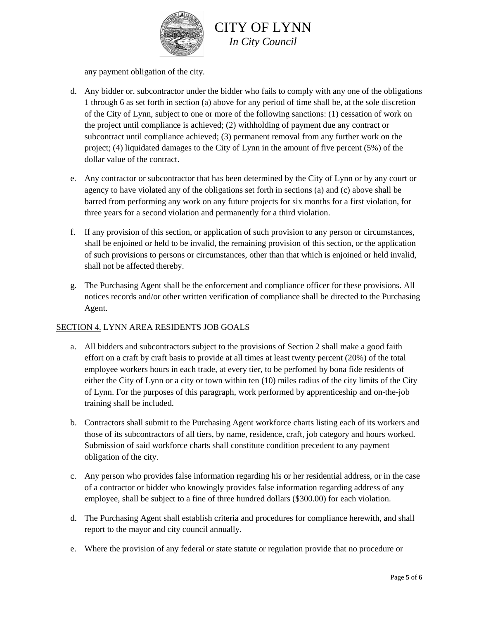

any payment obligation of the city.

- d. Any bidder or. subcontractor under the bidder who fails to comply with any one of the obligations 1 through 6 as set forth in section (a) above for any period of time shall be, at the sole discretion of the City of Lynn, subject to one or more of the following sanctions: (1) cessation of work on the project until compliance is achieved; (2) withholding of payment due any contract or subcontract until compliance achieved; (3) permanent removal from any further work on the project; (4) liquidated damages to the City of Lynn in the amount of five percent (5%) of the dollar value of the contract.
- e. Any contractor or subcontractor that has been determined by the City of Lynn or by any court or agency to have violated any of the obligations set forth in sections (a) and (c) above shall be barred from performing any work on any future projects for six months for a first violation, for three years for a second violation and permanently for a third violation.
- f. If any provision of this section, or application of such provision to any person or circumstances, shall be enjoined or held to be invalid, the remaining provision of this section, or the application of such provisions to persons or circumstances, other than that which is enjoined or held invalid, shall not be affected thereby.
- g. The Purchasing Agent shall be the enforcement and compliance officer for these provisions. All notices records and/or other written verification of compliance shall be directed to the Purchasing Agent.

#### SECTION 4. LYNN AREA RESIDENTS JOB GOALS

- a. All bidders and subcontractors subject to the provisions of Section 2 shall make a good faith effort on a craft by craft basis to provide at all times at least twenty percent (20%) of the total employee workers hours in each trade, at every tier, to be perfomed by bona fide residents of either the City of Lynn or a city or town within ten (10) miles radius of the city limits of the City of Lynn. For the purposes of this paragraph, work performed by apprenticeship and on-the-job training shall be included.
- b. Contractors shall submit to the Purchasing Agent workforce charts listing each of its workers and those of its subcontractors of all tiers, by name, residence, craft, job category and hours worked. Submission of said workforce charts shall constitute condition precedent to any payment obligation of the city.
- c. Any person who provides false information regarding his or her residential address, or in the case of a contractor or bidder who knowingly provides false information regarding address of any employee, shall be subject to a fine of three hundred dollars (\$300.00) for each violation.
- d. The Purchasing Agent shall establish criteria and procedures for compliance herewith, and shall report to the mayor and city council annually.
- e. Where the provision of any federal or state statute or regulation provide that no procedure or